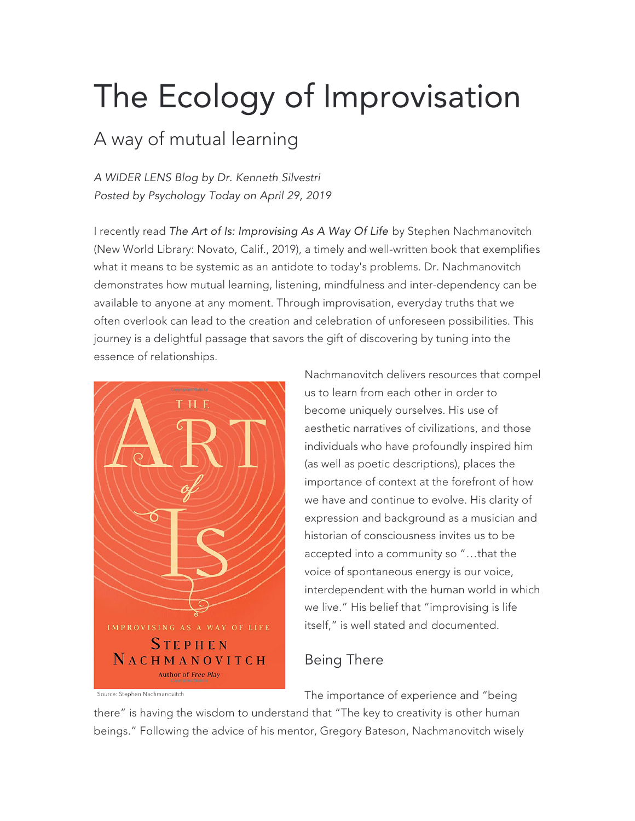## The Ecology of Improvisation

## A way of mutual learning

*A WIDER LENS Blog by Dr. Kenneth Silvestri Posted by Psychology Today on April 29, 2019*

I recently read *The Art of Is: Improvising As A Way Of Life* by Stephen Nachmanovitch (New World Library: Novato, Calif., 2019), a timely and well-written book that exemplifies what it means to be systemic as an antidote to today's problems. Dr. Nachmanovitch demonstrates how mutual learning, listening, mindfulness and inter-dependency can be available to anyone at any moment. Through improvisation, everyday truths that we often overlook can lead to the creation and celebration of unforeseen possibilities. This journey is a delightful passage that savors the gift of discovering by tuning into the essence of relationships.



Nachmanovitch delivers resources that compel us to learn from each other in order to become uniquely ourselves. His use of aesthetic narratives of civilizations, and those individuals who have profoundly inspired him (as well as poetic descriptions), places the importance of context at the forefront of how we have and continue to evolve. His clarity of expression and background as a musician and historian of consciousness invites us to be accepted into a community so "…that the voice of spontaneous energy is our voice, interdependent with the human world in which we live." His belief that "improvising is life itself," is well stated and documented.

## Being There

The importance of experience and "being

there" is having the wisdom to understand that "The key to creativity is other human beings." Following the advice of his mentor, Gregory Bateson, Nachmanovitch wisely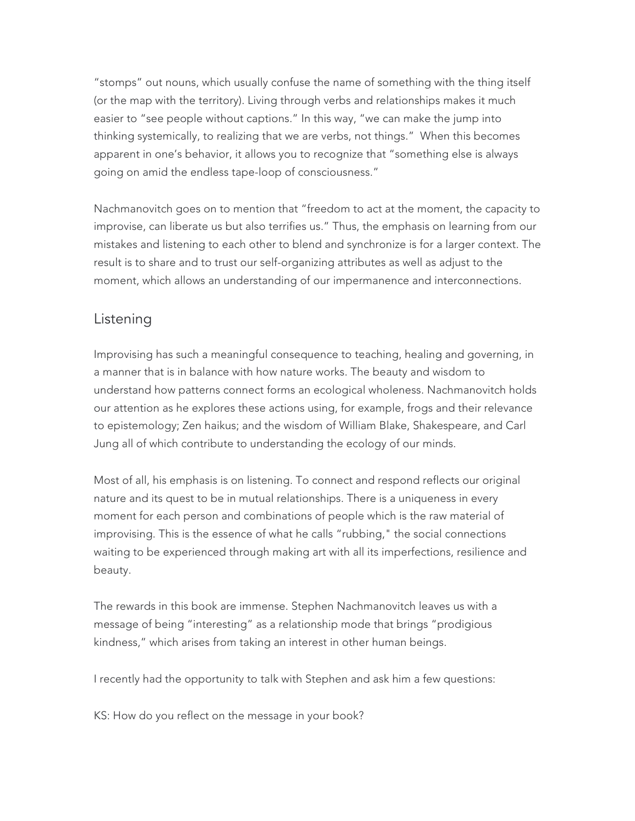"stomps" out nouns, which usually confuse the name of something with the thing itself (or the map with the territory). Living through verbs and relationships makes it much easier to "see people without captions." In this way, "we can make the jump into thinking systemically, to realizing that we are verbs, not things." When this becomes apparent in one's behavior, it allows you to recognize that "something else is always going on amid the endless tape-loop of consciousness."

Nachmanovitch goes on to mention that "freedom to act at the moment, the capacity to improvise, can liberate us but also terrifies us." Thus, the emphasis on learning from our mistakes and listening to each other to blend and synchronize is for a larger context. The result is to share and to trust our self-organizing attributes as well as adjust to the moment, which allows an understanding of our impermanence and interconnections.

## Listening

Improvising has such a meaningful consequence to teaching, healing and governing, in a manner that is in balance with how nature works. The beauty and wisdom to understand how patterns connect forms an ecological wholeness. Nachmanovitch holds our attention as he explores these actions using, for example, frogs and their relevance to epistemology; Zen haikus; and the wisdom of William Blake, Shakespeare, and Carl Jung all of which contribute to understanding the ecology of our minds.

Most of all, his emphasis is on listening. To connect and respond reflects our original nature and its quest to be in mutual relationships. There is a uniqueness in every moment for each person and combinations of people which is the raw material of improvising. This is the essence of what he calls "rubbing," the social connections waiting to be experienced through making art with all its imperfections, resilience and beauty.

The rewards in this book are immense. Stephen Nachmanovitch leaves us with a message of being "interesting" as a relationship mode that brings "prodigious kindness," which arises from taking an interest in other human beings.

I recently had the opportunity to talk with Stephen and ask him a few questions:

KS: How do you reflect on the message in your book?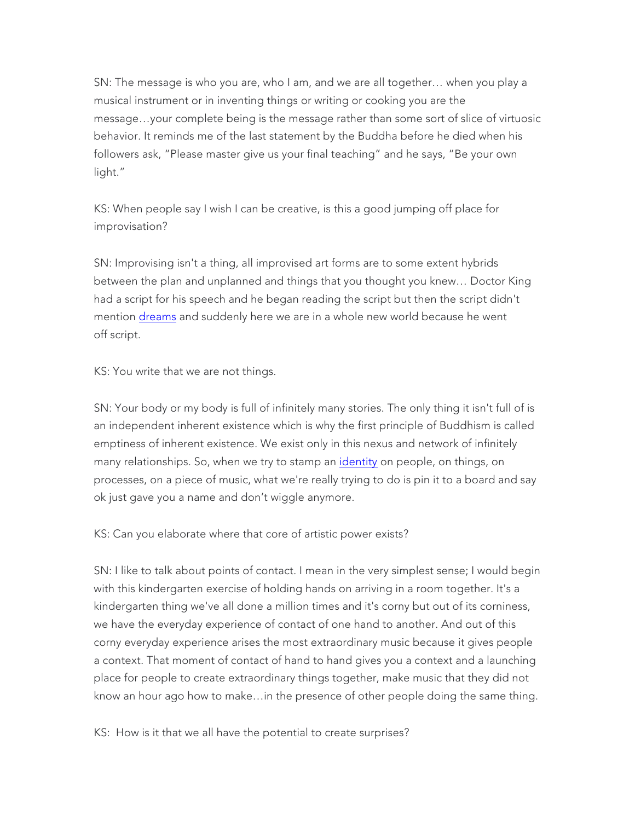SN: The message is who you are, who I am, and we are all together… when you play a musical instrument or in inventing things or writing or cooking you are the message…your complete being is the message rather than some sort of slice of virtuosic behavior. It reminds me of the last statement by the Buddha before he died when his followers ask, "Please master give us your final teaching" and he says, "Be your own light."

KS: When people say I wish I can be creative, is this a good jumping off place for improvisation?

SN: Improvising isn't a thing, all improvised art forms are to some extent hybrids between the plan and unplanned and things that you thought you knew… Doctor King had a script for his speech and he began reading the script but then the script didn't mention dreams and suddenly here we are in a whole new world because he went off script.

KS: You write that we are not things.

SN: Your body or my body is full of infinitely many stories. The only thing it isn't full of is an independent inherent existence which is why the first principle of Buddhism is called emptiness of inherent existence. We exist only in this nexus and network of infinitely many relationships. So, when we try to stamp an *identity* on people, on things, on processes, on a piece of music, what we're really trying to do is pin it to a board and say ok just gave you a name and don't wiggle anymore.

KS: Can you elaborate where that core of artistic power exists?

SN: I like to talk about points of contact. I mean in the very simplest sense; I would begin with this kindergarten exercise of holding hands on arriving in a room together. It's a kindergarten thing we've all done a million times and it's corny but out of its corniness, we have the everyday experience of contact of one hand to another. And out of this corny everyday experience arises the most extraordinary music because it gives people a context. That moment of contact of hand to hand gives you a context and a launching place for people to create extraordinary things together, make music that they did not know an hour ago how to make…in the presence of other people doing the same thing.

KS: How is it that we all have the potential to create surprises?